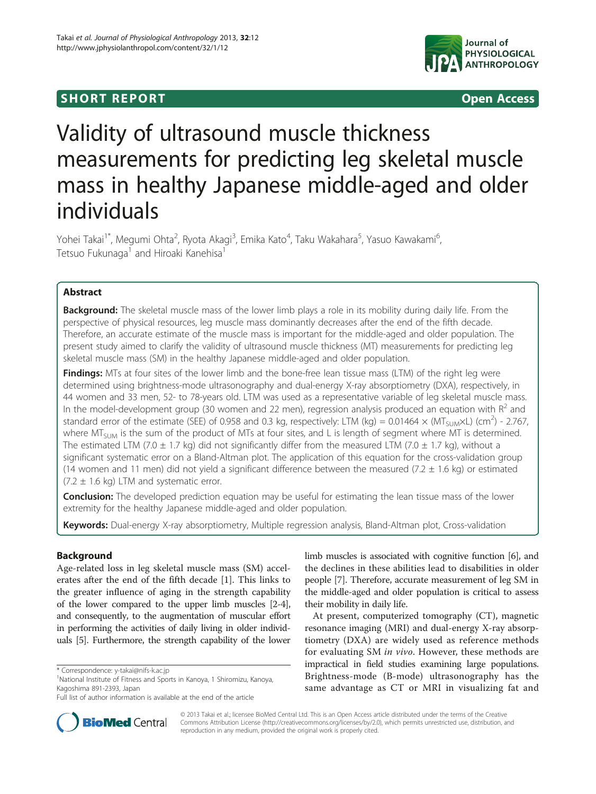## **SHORT REPORT SHORT CONSTRUCTES**



# Validity of ultrasound muscle thickness measurements for predicting leg skeletal muscle mass in healthy Japanese middle-aged and older individuals

Yohei Takai<sup>1\*</sup>, Megumi Ohta<sup>2</sup>, Ryota Akagi<sup>3</sup>, Emika Kato<sup>4</sup>, Taku Wakahara<sup>5</sup>, Yasuo Kawakami<sup>6</sup> , Tetsuo Fukunaga<sup>1</sup> and Hiroaki Kanehisa

## Abstract

**Background:** The skeletal muscle mass of the lower limb plays a role in its mobility during daily life. From the perspective of physical resources, leg muscle mass dominantly decreases after the end of the fifth decade. Therefore, an accurate estimate of the muscle mass is important for the middle-aged and older population. The present study aimed to clarify the validity of ultrasound muscle thickness (MT) measurements for predicting leg skeletal muscle mass (SM) in the healthy Japanese middle-aged and older population.

Findings: MTs at four sites of the lower limb and the bone-free lean tissue mass (LTM) of the right leg were determined using brightness-mode ultrasonography and dual-energy X-ray absorptiometry (DXA), respectively, in 44 women and 33 men, 52- to 78-years old. LTM was used as a representative variable of leg skeletal muscle mass. In the model-development group (30 women and 22 men), regression analysis produced an equation with  $R^2$  and standard error of the estimate (SEE) of 0.958 and 0.3 kg, respectively: LTM (kg) = 0.01464  $\times$  (MT<sub>SUM</sub> $\times$ L) (cm<sup>2</sup>) - 2.767, where MT<sub>SUM</sub> is the sum of the product of MTs at four sites, and L is length of segment where MT is determined. The estimated LTM (7.0  $\pm$  1.7 kg) did not significantly differ from the measured LTM (7.0  $\pm$  1.7 kg), without a significant systematic error on a Bland-Altman plot. The application of this equation for the cross-validation group (14 women and 11 men) did not yield a significant difference between the measured (7.2  $\pm$  1.6 kg) or estimated  $(7.2 \pm 1.6 \text{ kg})$  LTM and systematic error.

**Conclusion:** The developed prediction equation may be useful for estimating the lean tissue mass of the lower extremity for the healthy Japanese middle-aged and older population.

Keywords: Dual-energy X-ray absorptiometry, Multiple regression analysis, Bland-Altman plot, Cross-validation

## Background

Age-related loss in leg skeletal muscle mass (SM) accelerates after the end of the fifth decade [\[1\]](#page-3-0). This links to the greater influence of aging in the strength capability of the lower compared to the upper limb muscles [[2](#page-3-0)-[4](#page-3-0)], and consequently, to the augmentation of muscular effort in performing the activities of daily living in older individuals [\[5\]](#page-3-0). Furthermore, the strength capability of the lower limb muscles is associated with cognitive function [[6\]](#page-3-0), and the declines in these abilities lead to disabilities in older people [\[7](#page-3-0)]. Therefore, accurate measurement of leg SM in the middle-aged and older population is critical to assess their mobility in daily life.

At present, computerized tomography (CT), magnetic resonance imaging (MRI) and dual-energy X-ray absorptiometry (DXA) are widely used as reference methods for evaluating SM in vivo. However, these methods are impractical in field studies examining large populations. Brightness-mode (B-mode) ultrasonography has the same advantage as CT or MRI in visualizing fat and



© 2013 Takai et al.; licensee BioMed Central Ltd. This is an Open Access article distributed under the terms of the Creative Commons Attribution License [\(http://creativecommons.org/licenses/by/2.0\)](http://creativecommons.org/licenses/by/2.0), which permits unrestricted use, distribution, and reproduction in any medium, provided the original work is properly cited.

<sup>\*</sup> Correspondence: [y-takai@nifs-k.ac.jp](mailto:y-takai@nifs-k.ac.jp) <sup>1</sup>

<sup>&</sup>lt;sup>1</sup>National Institute of Fitness and Sports in Kanoya, 1 Shiromizu, Kanoya, Kagoshima 891-2393, Japan

Full list of author information is available at the end of the article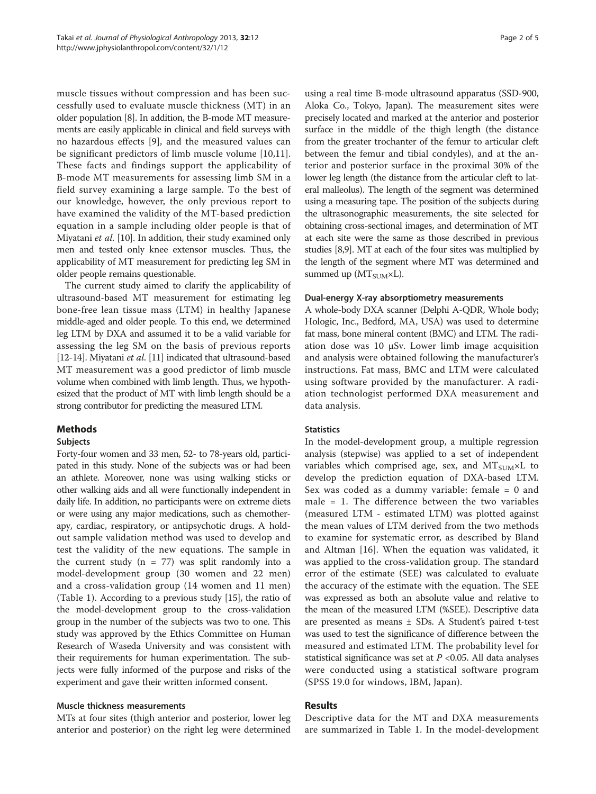muscle tissues without compression and has been successfully used to evaluate muscle thickness (MT) in an older population [\[8\]](#page-3-0). In addition, the B-mode MT measurements are easily applicable in clinical and field surveys with no hazardous effects [[9\]](#page-3-0), and the measured values can be significant predictors of limb muscle volume [[10,11](#page-3-0)]. These facts and findings support the applicability of B-mode MT measurements for assessing limb SM in a field survey examining a large sample. To the best of our knowledge, however, the only previous report to have examined the validity of the MT-based prediction equation in a sample including older people is that of Miyatani et al. [\[10\]](#page-3-0). In addition, their study examined only men and tested only knee extensor muscles. Thus, the applicability of MT measurement for predicting leg SM in older people remains questionable.

The current study aimed to clarify the applicability of ultrasound-based MT measurement for estimating leg bone-free lean tissue mass (LTM) in healthy Japanese middle-aged and older people. To this end, we determined leg LTM by DXA and assumed it to be a valid variable for assessing the leg SM on the basis of previous reports [[12](#page-3-0)-[14\]](#page-3-0). Miyatani et al. [\[11\]](#page-3-0) indicated that ultrasound-based MT measurement was a good predictor of limb muscle volume when combined with limb length. Thus, we hypothesized that the product of MT with limb length should be a strong contributor for predicting the measured LTM.

## Methods

#### **Subjects**

Forty-four women and 33 men, 52- to 78-years old, participated in this study. None of the subjects was or had been an athlete. Moreover, none was using walking sticks or other walking aids and all were functionally independent in daily life. In addition, no participants were on extreme diets or were using any major medications, such as chemotherapy, cardiac, respiratory, or antipsychotic drugs. A holdout sample validation method was used to develop and test the validity of the new equations. The sample in the current study ( $n = 77$ ) was split randomly into a model-development group (30 women and 22 men) and a cross-validation group (14 women and 11 men) (Table [1](#page-2-0)). According to a previous study [[15](#page-4-0)], the ratio of the model-development group to the cross-validation group in the number of the subjects was two to one. This study was approved by the Ethics Committee on Human Research of Waseda University and was consistent with their requirements for human experimentation. The subjects were fully informed of the purpose and risks of the experiment and gave their written informed consent.

#### Muscle thickness measurements

MTs at four sites (thigh anterior and posterior, lower leg anterior and posterior) on the right leg were determined

using a real time B-mode ultrasound apparatus (SSD-900, Aloka Co., Tokyo, Japan). The measurement sites were precisely located and marked at the anterior and posterior surface in the middle of the thigh length (the distance from the greater trochanter of the femur to articular cleft between the femur and tibial condyles), and at the anterior and posterior surface in the proximal 30% of the lower leg length (the distance from the articular cleft to lateral malleolus). The length of the segment was determined using a measuring tape. The position of the subjects during the ultrasonographic measurements, the site selected for obtaining cross-sectional images, and determination of MT at each site were the same as those described in previous studies [\[8,9\]](#page-3-0). MT at each of the four sites was multiplied by the length of the segment where MT was determined and summed up ( $MT_{SUM} \times L$ ).

## Dual-energy X-ray absorptiometry measurements

A whole-body DXA scanner (Delphi A-QDR, Whole body; Hologic, Inc., Bedford, MA, USA) was used to determine fat mass, bone mineral content (BMC) and LTM. The radiation dose was 10 μSv. Lower limb image acquisition and analysis were obtained following the manufacturer's instructions. Fat mass, BMC and LTM were calculated using software provided by the manufacturer. A radiation technologist performed DXA measurement and data analysis.

## **Statistics**

In the model-development group, a multiple regression analysis (stepwise) was applied to a set of independent variables which comprised age, sex, and  $MT_{SUM} \times L$  to develop the prediction equation of DXA-based LTM. Sex was coded as a dummy variable: female = 0 and male = 1. The difference between the two variables (measured LTM - estimated LTM) was plotted against the mean values of LTM derived from the two methods to examine for systematic error, as described by Bland and Altman [[16\]](#page-4-0). When the equation was validated, it was applied to the cross-validation group. The standard error of the estimate (SEE) was calculated to evaluate the accuracy of the estimate with the equation. The SEE was expressed as both an absolute value and relative to the mean of the measured LTM (%SEE). Descriptive data are presented as means ± SDs. A Student's paired t-test was used to test the significance of difference between the measured and estimated LTM. The probability level for statistical significance was set at  $P < 0.05$ . All data analyses were conducted using a statistical software program (SPSS 19.0 for windows, IBM, Japan).

## Results

Descriptive data for the MT and DXA measurements are summarized in Table [1.](#page-2-0) In the model-development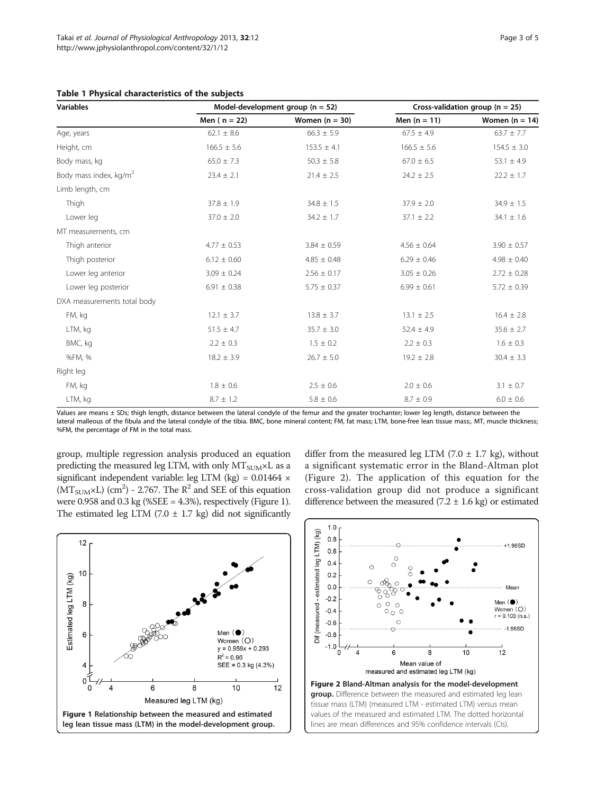<span id="page-2-0"></span>

|  |  |  | Table 1 Physical characteristics of the subjects |  |  |  |
|--|--|--|--------------------------------------------------|--|--|--|
|--|--|--|--------------------------------------------------|--|--|--|

| <b>Variables</b>                   |                 | Model-development group ( $n = 52$ ) | Cross-validation group ( $n = 25$ ) |                  |  |
|------------------------------------|-----------------|--------------------------------------|-------------------------------------|------------------|--|
|                                    | Men $(n = 22)$  | Women $(n = 30)$                     | Men $(n = 11)$                      | Women $(n = 14)$ |  |
| Age, years                         | $62.1 \pm 8.6$  | $66.3 \pm 5.9$                       | $67.5 \pm 4.9$                      | $63.7 \pm 7.7$   |  |
| Height, cm                         | $166.5 \pm 5.6$ | $153.5 \pm 4.1$                      | $166.5 \pm 5.6$                     | $154.5 \pm 3.0$  |  |
| Body mass, kg                      | $65.0 \pm 7.3$  | $50.3 \pm 5.8$                       | $67.0 \pm 6.5$                      | $53.1 \pm 4.9$   |  |
| Body mass index, kg/m <sup>2</sup> | $23.4 \pm 2.1$  | $21.4 \pm 2.5$                       | $24.2 \pm 2.5$                      | $22.2 \pm 1.7$   |  |
| Limb length, cm                    |                 |                                      |                                     |                  |  |
| Thigh                              | $37.8 \pm 1.9$  | $34.8 \pm 1.5$                       | $37.9 \pm 2.0$                      | $34.9 \pm 1.5$   |  |
| Lower leg                          | $37.0 \pm 2.0$  | $34.2 \pm 1.7$                       | $37.1 \pm 2.2$                      | $34.1 \pm 1.6$   |  |
| MT measurements, cm                |                 |                                      |                                     |                  |  |
| Thigh anterior                     | $4.77 \pm 0.53$ | $3.84 \pm 0.59$                      | $4.56 \pm 0.64$                     | $3.90 \pm 0.57$  |  |
| Thigh posterior                    | $6.12 \pm 0.60$ | $4.85 \pm 0.48$                      | $6.29 \pm 0.46$                     | $4.98 \pm 0.40$  |  |
| Lower leg anterior                 | $3.09 \pm 0.24$ | $2.56 \pm 0.17$                      | $3.05 \pm 0.26$                     | $2.72 \pm 0.28$  |  |
| Lower leg posterior                | $6.91 \pm 0.38$ | $5.75 \pm 0.37$                      | $6.99 \pm 0.61$                     | $5.72 \pm 0.39$  |  |
| DXA measurements total body        |                 |                                      |                                     |                  |  |
| FM, kg                             | $12.1 \pm 3.7$  | $13.8 \pm 3.7$                       | $13.1 \pm 2.5$                      | $16.4 \pm 2.8$   |  |
| LTM, kg                            | $51.5 \pm 4.7$  | $35.7 \pm 3.0$                       | $52.4 \pm 4.9$                      | $35.6 \pm 2.7$   |  |
| BMC, kg                            | $2.2 \pm 0.3$   | $1.5 \pm 0.2$                        | $2.2 \pm 0.3$                       | $1.6 \pm 0.3$    |  |
| %FM, %                             | $18.2 \pm 3.9$  | $26.7 \pm 5.0$                       | $19.2 \pm 2.8$                      | $30.4 \pm 3.3$   |  |
| Right leg                          |                 |                                      |                                     |                  |  |
| FM, kg                             | $1.8 \pm 0.6$   | $2.5 \pm 0.6$                        | $2.0 \pm 0.6$                       | $3.1 \pm 0.7$    |  |
| LTM, kg                            | $8.7 \pm 1.2$   | $5.8 \pm 0.6$                        | $8.7 \pm 0.9$                       | $6.0 \pm 0.6$    |  |

Values are means ± SDs; thigh length, distance between the lateral condyle of the femur and the greater trochanter; lower leg length, distance between the lateral malleous of the fibula and the lateral condyle of the tibia. BMC, bone mineral content; FM, fat mass; LTM, bone-free lean tissue mass;. MT, muscle thickness; %FM, the percentage of FM in the total mass.

group, multiple regression analysis produced an equation predicting the measured leg LTM, with only  $MT_{SUM} \times L$  as a significant independent variable: leg LTM (kg) = 0.01464 ×  $(MT<sub>SUM</sub>×L)$  (cm<sup>2</sup>) - 2.767. The R<sup>2</sup> and SEE of this equation were 0.958 and 0.3 kg (%SEE =  $4.3\%$ ), respectively (Figure 1). The estimated leg LTM (7.0  $\pm$  1.7 kg) did not significantly differ from the measured leg LTM (7.0  $\pm$  1.7 kg), without a significant systematic error in the Bland-Altman plot (Figure 2). The application of this equation for the cross-validation group did not produce a significant difference between the measured (7.2  $\pm$  1.6 kg) or estimated



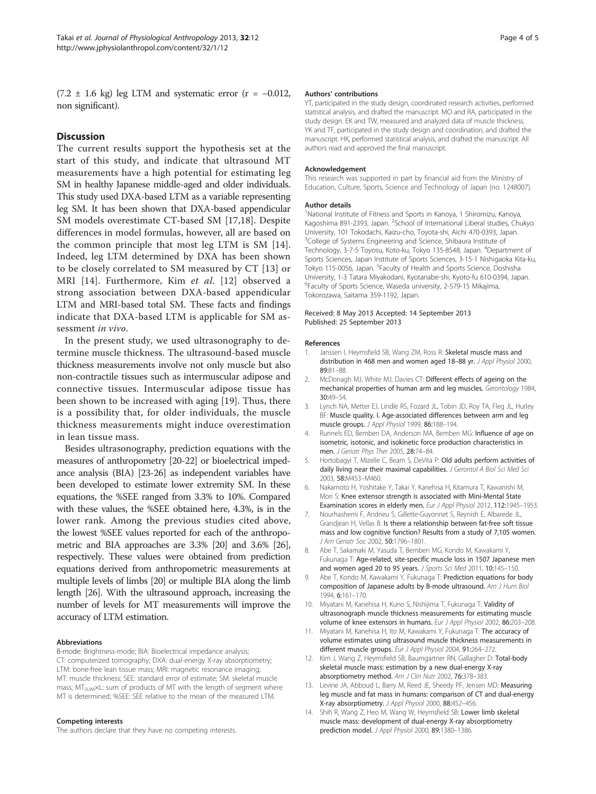<span id="page-3-0"></span> $(7.2 \pm 1.6 \text{ kg})$  leg LTM and systematic error  $(r = -0.012,$ non significant).

## Discussion

The current results support the hypothesis set at the start of this study, and indicate that ultrasound MT measurements have a high potential for estimating leg SM in healthy Japanese middle-aged and older individuals. This study used DXA-based LTM as a variable representing leg SM. It has been shown that DXA-based appendicular SM models overestimate CT-based SM [\[17,18](#page-4-0)]. Despite differences in model formulas, however, all are based on the common principle that most leg LTM is SM [14]. Indeed, leg LTM determined by DXA has been shown to be closely correlated to SM measured by CT [13] or MRI [14]. Furthermore, Kim et al. [12] observed a strong association between DXA-based appendicular LTM and MRI-based total SM. These facts and findings indicate that DXA-based LTM is applicable for SM assessment in vivo.

In the present study, we used ultrasonography to determine muscle thickness. The ultrasound-based muscle thickness measurements involve not only muscle but also non-contractile tissues such as intermuscular adipose and connective tissues. Intermuscular adipose tissue has been shown to be increased with aging [\[19](#page-4-0)]. Thus, there is a possibility that, for older individuals, the muscle thickness measurements might induce overestimation in lean tissue mass.

Besides ultrasonography, prediction equations with the measures of anthropometry [\[20-22](#page-4-0)] or bioelectrical impedance analysis (BIA) [\[23](#page-4-0)-[26](#page-4-0)] as independent variables have been developed to estimate lower extremity SM. In these equations, the %SEE ranged from 3.3% to 10%. Compared with these values, the %SEE obtained here, 4.3%, is in the lower rank. Among the previous studies cited above, the lowest %SEE values reported for each of the anthropometric and BIA approaches are 3.3% [\[20](#page-4-0)] and 3.6% [\[26](#page-4-0)], respectively. These values were obtained from prediction equations derived from anthropometric measurements at multiple levels of limbs [\[20\]](#page-4-0) or multiple BIA along the limb length [\[26](#page-4-0)]. With the ultrasound approach, increasing the number of levels for MT measurements will improve the accuracy of LTM estimation.

#### Abbreviations

B-mode: Brightness-mode; BIA: Bioelectrical impedance analysis; CT: computerized tomography; DXA: dual-energy X-ray absorptiometry; LTM: bone-free lean tissue mass; MRI: magnetic resonance imaging; MT: muscle thickness; SEE: standard error of estimate; SM: skeletal muscle mass; MT<sub>SUM</sub>×L: sum of products of MT with the length of segment where MT is determined; %SEE: SEE relative to the mean of the measured LTM.

#### Competing interests

The authors declare that they have no competing interests.

#### Authors' contributions

YT, participated in the study design, coordinated research activities, performed statistical analysis, and drafted the manuscript. MO and RA, participated in the study design. EK and TW, measured and analyzed data of muscle thickness. YK and TF, participated in the study design and coordination, and drafted the manuscript. HK, performed statistical analysis, and drafted the manuscript. All authors read and approved the final manuscript.

#### Acknowledgement

This research was supported in part by financial aid from the Ministry of Education, Culture, Sports, Science and Technology of Japan (no. 1248007).

#### Author details

<sup>1</sup>National Institute of Fitness and Sports in Kanoya, 1 Shiromizu, Kanoya Kagoshima 891-2393, Japan. <sup>2</sup>School of International Liberal studies, Chukyc University, 101 Tokodachi, Kaizu-cho, Toyota-shi, Aichi 470-0393, Japan. <sup>3</sup>College of Systems Engineering and Science, Shibaura Institute of Technology, 3-7-5 Toyosu, Koto-ku, Tokyo 135-8548, Japan. <sup>4</sup>Department of Sports Sciences, Japan Institute of Sports Sciences, 3-15-1 Nishigaoka Kita-ku, Tokyo 115-0056, Japan. <sup>5</sup>Faculty of Health and Sports Science, Doshisha University, 1-3 Tatara Miyakodani, Kyotanabe-shi, Kyoto-fu 610-0394, Japan. 6 Faculty of Sports Science, Waseda university, 2-579-15 Mikajima, Tokorozawa, Saitama 359-1192, Japan.

#### Received: 8 May 2013 Accepted: 14 September 2013 Published: 25 September 2013

#### References

- 1. Janssen I, Heymsfield SB, Wang ZM, Ross R: Skeletal muscle mass and distribution in 468 men and women aged 18-88 yr. J Appl Physiol 2000, 89:81–88.
- 2. McDonagh MJ, White MJ, Davies CT: Different effects of ageing on the mechanical properties of human arm and leg muscles. Gerontology 1984, 30:49–54.
- 3. Lynch NA, Metter EJ, Lindle RS, Fozard JL, Tobin JD, Roy TA, Fleg JL, Hurley BF: Muscle quality. I. Age-associated differences between arm and leg muscle groups. J Appl Physiol 1999, 86:188–194.
- 4. Runnels ED, Bemben DA, Anderson MA, Bemben MG: Influence of age on isometric, isotonic, and isokinetic force production characteristics in men. J Geriatr Phys Ther 2005, 28:74-84.
- 5. Hortobagyi T, Mizelle C, Beam S, DeVita P: Old adults perform activities of daily living near their maximal capabilities. J Gerontol A Biol Sci Med Sci 2003, 58:M453–M460.
- 6. Nakamoto H, Yoshitake Y, Takai Y, Kanehisa H, Kitamura T, Kawanishi M, Mori S: Knee extensor strength is associated with Mini-Mental State Examination scores in elderly men. Eur J Appl Physiol 2012, 112:1945-1953.
- 7. Nourhashemi F, Andrieu S, Gillette-Guyonnet S, Reynish E, Albarede JL, Grandjean H, Vellas B: Is there a relationship between fat-free soft tissue mass and low cognitive function? Results from a study of 7,105 women. J Am Geriatr Soc 2002, 50:1796–1801.
- 8. Abe T, Sakamaki M, Yasuda T, Bemben MG, Kondo M, Kawakami Y, Fukunaga T: Age-related, site-specific muscle loss in 1507 Japanese men and women aged 20 to 95 years. J Sports Sci Med 2011, 10:145-150.
- 9. Abe T, Kondo M, Kawakami Y, Fukunaga T: Prediction equations for body composition of Japanese adults by B-mode ultrasound. Am J Hum Biol 1994, 6:161–170.
- 10. Miyatani M, Kanehisa H, Kuno S, Nishijima T, Fukunaga T: Validity of ultrasonograph muscle thickness measurements for estimating muscle volume of knee extensors in humans. Eur J Appl Physiol 2002, 86:203–208.
- 11. Miyatani M, Kanehisa H, Ito M, Kawakami Y, Fukunaga T: The accuracy of volume estimates using ultrasound muscle thickness measurements in different muscle groups. Eur J Appl Physiol 2004, 91:264-272.
- 12. Kim J, Wang Z, Heymsfield SB, Baumgartner RN, Gallagher D: Total-body skeletal muscle mass: estimation by a new dual-energy X-ray absorptiometry method. Am J Clin Nutr 2002, 76:378-383.
- 13. Levine JA, Abboud L, Barry M, Reed JE, Sheedy PF, Jensen MD: Measuring leg muscle and fat mass in humans: comparison of CT and dual-energy X-ray absorptiometry. J Appl Physiol 2000, 88:452–456.
- 14. Shih R, Wang Z, Heo M, Wang W, Heymsfield SB: Lower limb skeletal muscle mass: development of dual-energy X-ray absorptiometry prediction model. J Appl Physiol 2000, 89:1380–1386.